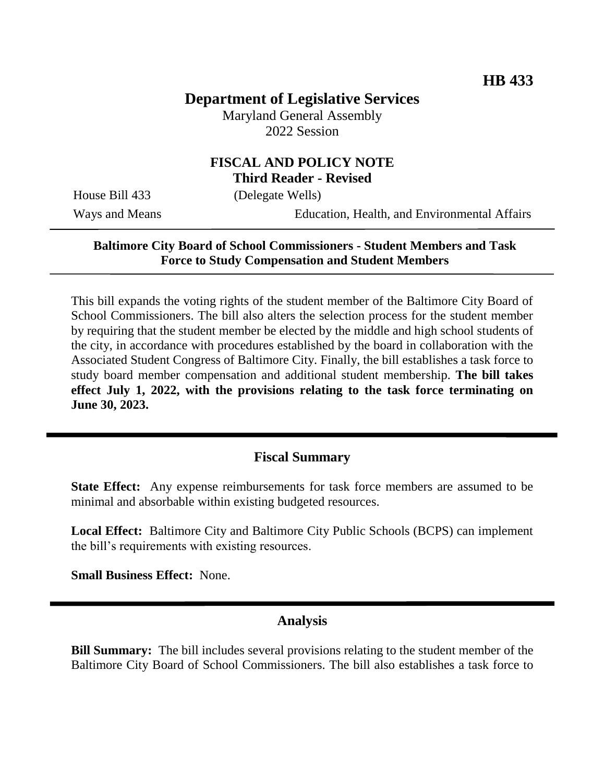# **Department of Legislative Services**

Maryland General Assembly 2022 Session

# **FISCAL AND POLICY NOTE Third Reader - Revised**

House Bill 433 (Delegate Wells)

Ways and Means Education, Health, and Environmental Affairs

## **Baltimore City Board of School Commissioners - Student Members and Task Force to Study Compensation and Student Members**

This bill expands the voting rights of the student member of the Baltimore City Board of School Commissioners. The bill also alters the selection process for the student member by requiring that the student member be elected by the middle and high school students of the city, in accordance with procedures established by the board in collaboration with the Associated Student Congress of Baltimore City. Finally, the bill establishes a task force to study board member compensation and additional student membership. **The bill takes effect July 1, 2022, with the provisions relating to the task force terminating on June 30, 2023.**

# **Fiscal Summary**

**State Effect:** Any expense reimbursements for task force members are assumed to be minimal and absorbable within existing budgeted resources.

**Local Effect:** Baltimore City and Baltimore City Public Schools (BCPS) can implement the bill's requirements with existing resources.

**Small Business Effect:** None.

#### **Analysis**

**Bill Summary:** The bill includes several provisions relating to the student member of the Baltimore City Board of School Commissioners. The bill also establishes a task force to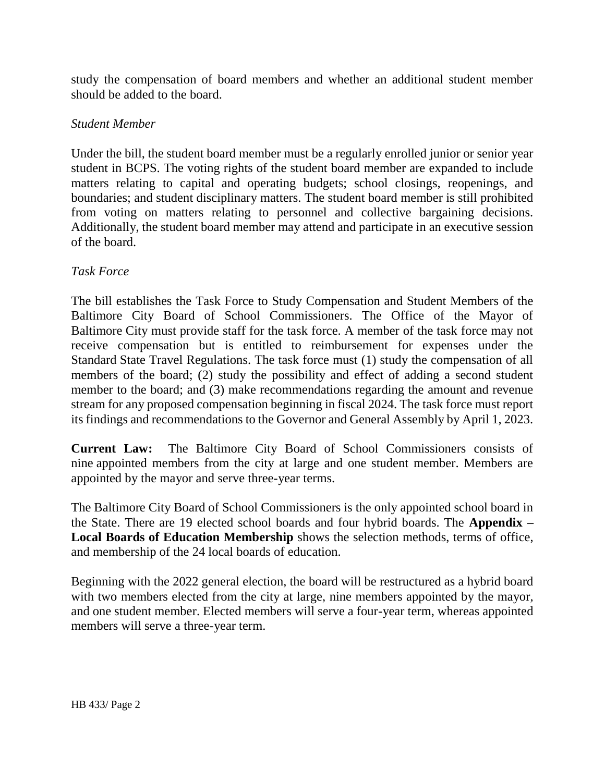study the compensation of board members and whether an additional student member should be added to the board.

# *Student Member*

Under the bill, the student board member must be a regularly enrolled junior or senior year student in BCPS. The voting rights of the student board member are expanded to include matters relating to capital and operating budgets; school closings, reopenings, and boundaries; and student disciplinary matters. The student board member is still prohibited from voting on matters relating to personnel and collective bargaining decisions. Additionally, the student board member may attend and participate in an executive session of the board.

## *Task Force*

The bill establishes the Task Force to Study Compensation and Student Members of the Baltimore City Board of School Commissioners. The Office of the Mayor of Baltimore City must provide staff for the task force. A member of the task force may not receive compensation but is entitled to reimbursement for expenses under the Standard State Travel Regulations. The task force must (1) study the compensation of all members of the board; (2) study the possibility and effect of adding a second student member to the board; and (3) make recommendations regarding the amount and revenue stream for any proposed compensation beginning in fiscal 2024. The task force must report its findings and recommendations to the Governor and General Assembly by April 1, 2023.

**Current Law:** The Baltimore City Board of School Commissioners consists of nine appointed members from the city at large and one student member. Members are appointed by the mayor and serve three-year terms.

The Baltimore City Board of School Commissioners is the only appointed school board in the State. There are 19 elected school boards and four hybrid boards. The **Appendix – Local Boards of Education Membership** shows the selection methods, terms of office, and membership of the 24 local boards of education.

Beginning with the 2022 general election, the board will be restructured as a hybrid board with two members elected from the city at large, nine members appointed by the mayor, and one student member. Elected members will serve a four-year term, whereas appointed members will serve a three-year term.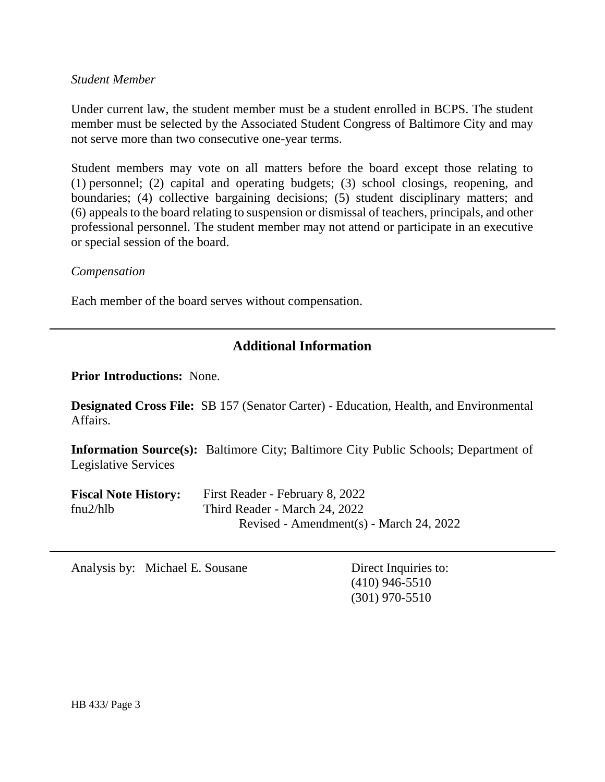#### *Student Member*

Under current law, the student member must be a student enrolled in BCPS. The student member must be selected by the Associated Student Congress of Baltimore City and may not serve more than two consecutive one-year terms.

Student members may vote on all matters before the board except those relating to (1) personnel; (2) capital and operating budgets; (3) school closings, reopening, and boundaries; (4) collective bargaining decisions; (5) student disciplinary matters; and (6) appeals to the board relating to suspension or dismissal of teachers, principals, and other professional personnel. The student member may not attend or participate in an executive or special session of the board.

#### *Compensation*

Each member of the board serves without compensation.

# **Additional Information**

**Prior Introductions:** None.

**Designated Cross File:** SB 157 (Senator Carter) - Education, Health, and Environmental Affairs.

**Information Source(s):** Baltimore City; Baltimore City Public Schools; Department of Legislative Services

| <b>Fiscal Note History:</b> | First Reader - February 8, 2022         |
|-----------------------------|-----------------------------------------|
| fnu2/hlb                    | Third Reader - March 24, 2022           |
|                             | Revised - Amendment(s) - March 24, 2022 |

Analysis by: Michael E. Sousane Direct Inquiries to:

(410) 946-5510 (301) 970-5510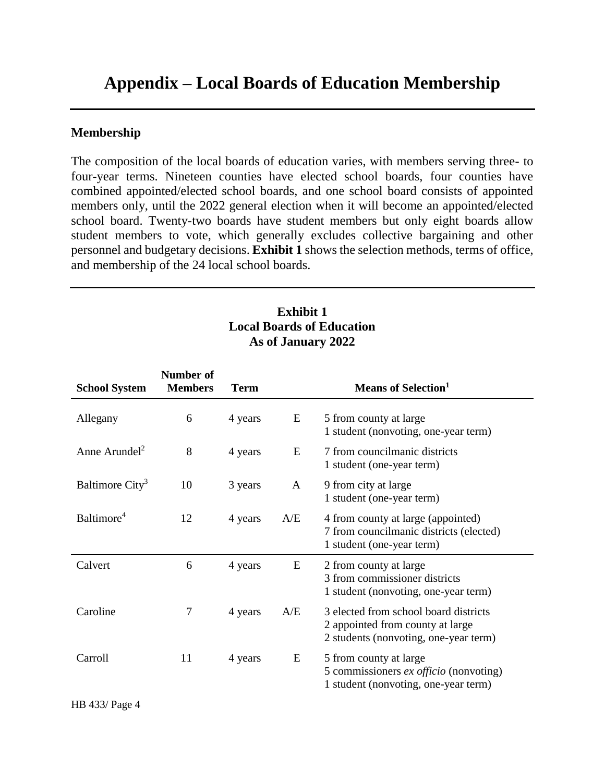# **Appendix – Local Boards of Education Membership**

#### **Membership**

The composition of the local boards of education varies, with members serving three- to four-year terms. Nineteen counties have elected school boards, four counties have combined appointed/elected school boards, and one school board consists of appointed members only, until the 2022 general election when it will become an appointed/elected school board. Twenty-two boards have student members but only eight boards allow student members to vote, which generally excludes collective bargaining and other personnel and budgetary decisions. **Exhibit 1** shows the selection methods, terms of office, and membership of the 24 local school boards.

# **Exhibit 1 Local Boards of Education As of January 2022**

| <b>School System</b>        | Number of<br><b>Members</b> | <b>Term</b> |     | <b>Means of Selection</b> <sup>1</sup>                                                                             |
|-----------------------------|-----------------------------|-------------|-----|--------------------------------------------------------------------------------------------------------------------|
| Allegany                    | 6                           | 4 years     | E   | 5 from county at large<br>1 student (nonvoting, one-year term)                                                     |
| Anne Arundel <sup>2</sup>   | 8                           | 4 years     | E   | 7 from councilmanic districts<br>1 student (one-year term)                                                         |
| Baltimore City <sup>3</sup> | 10                          | 3 years     | A   | 9 from city at large<br>1 student (one-year term)                                                                  |
| Baltimore <sup>4</sup>      | 12                          | 4 years     | A/E | 4 from county at large (appointed)<br>7 from councilmanic districts (elected)<br>1 student (one-year term)         |
| Calvert                     | 6                           | 4 years     | E   | 2 from county at large<br>3 from commissioner districts<br>1 student (nonvoting, one-year term)                    |
| Caroline                    | 7                           | 4 years     | A/E | 3 elected from school board districts<br>2 appointed from county at large<br>2 students (nonvoting, one-year term) |
| Carroll                     | 11                          | 4 years     | E   | 5 from county at large<br>5 commissioners ex officio (nonvoting)<br>1 student (nonvoting, one-year term)           |

HB 433/ Page 4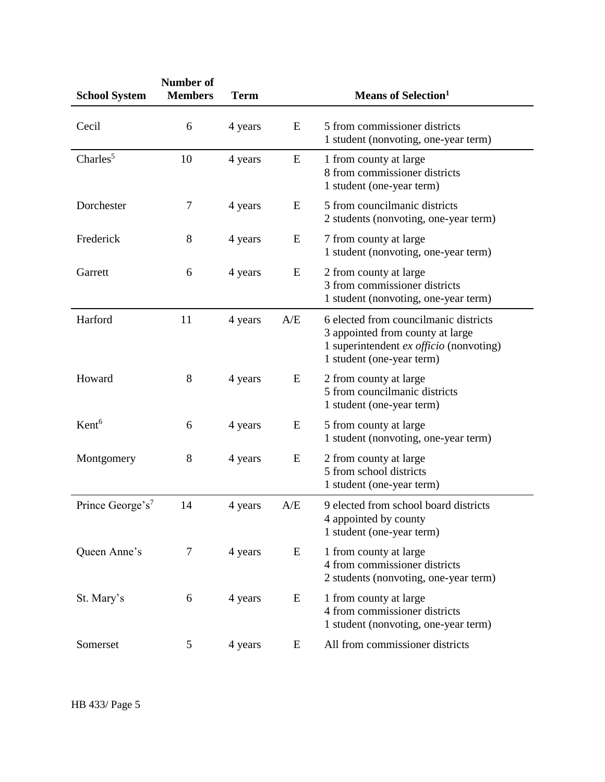| <b>School System</b>         | Number of<br><b>Members</b> | <b>Term</b> |           | <b>Means of Selection</b> <sup>1</sup>                                                                                                            |
|------------------------------|-----------------------------|-------------|-----------|---------------------------------------------------------------------------------------------------------------------------------------------------|
| Cecil                        | 6                           | 4 years     | E         | 5 from commissioner districts<br>1 student (nonvoting, one-year term)                                                                             |
| Charles $5$                  | 10                          | 4 years     | ${\bf E}$ | 1 from county at large<br>8 from commissioner districts<br>1 student (one-year term)                                                              |
| Dorchester                   | 7                           | 4 years     | E         | 5 from councilmanic districts<br>2 students (nonvoting, one-year term)                                                                            |
| Frederick                    | 8                           | 4 years     | E         | 7 from county at large<br>1 student (nonvoting, one-year term)                                                                                    |
| Garrett                      | 6                           | 4 years     | E         | 2 from county at large<br>3 from commissioner districts<br>1 student (nonvoting, one-year term)                                                   |
| Harford                      | 11                          | 4 years     | A/E       | 6 elected from councilmanic districts<br>3 appointed from county at large<br>1 superintendent ex officio (nonvoting)<br>1 student (one-year term) |
| Howard                       | 8                           | 4 years     | E         | 2 from county at large<br>5 from councilmanic districts<br>1 student (one-year term)                                                              |
| Kent <sup>6</sup>            | 6                           | 4 years     | E         | 5 from county at large<br>1 student (nonvoting, one-year term)                                                                                    |
| Montgomery                   | 8                           | 4 years     | E         | 2 from county at large<br>5 from school districts<br>1 student (one-year term)                                                                    |
| Prince George's <sup>7</sup> | 14                          | 4 years     | A/E       | 9 elected from school board districts<br>4 appointed by county<br>1 student (one-year term)                                                       |
| Queen Anne's                 | 7                           | 4 years     | E         | 1 from county at large<br>4 from commissioner districts<br>2 students (nonvoting, one-year term)                                                  |
| St. Mary's                   | 6                           | 4 years     | E         | 1 from county at large<br>4 from commissioner districts<br>1 student (nonvoting, one-year term)                                                   |
| Somerset                     | 5                           | 4 years     | E         | All from commissioner districts                                                                                                                   |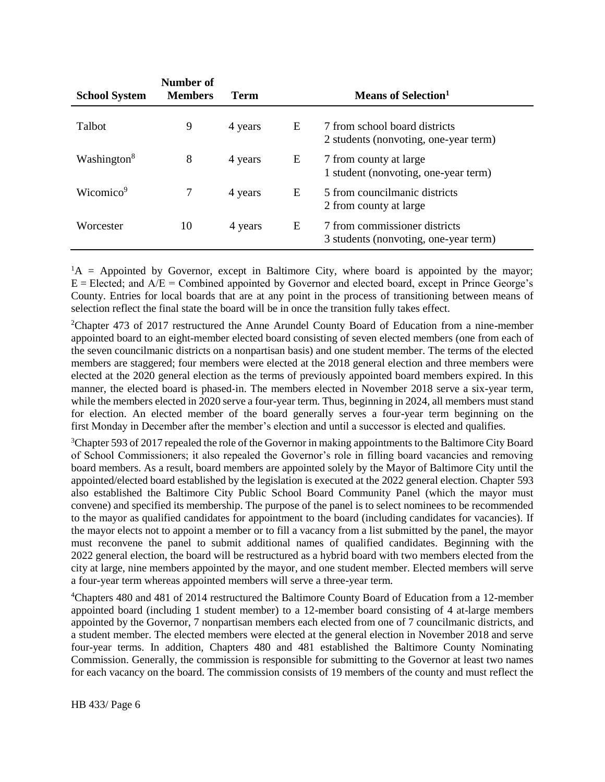| <b>School System</b>    | Number of<br><b>Members</b> | Term    |   | Means of Selection <sup>1</sup>                                        |
|-------------------------|-----------------------------|---------|---|------------------------------------------------------------------------|
| Talbot                  | 9                           | 4 years | E | 7 from school board districts<br>2 students (nonvoting, one-year term) |
| Washington <sup>8</sup> | 8                           | 4 years | E | 7 from county at large<br>1 student (nonvoting, one-year term)         |
| Wicomico <sup>9</sup>   |                             | 4 years | E | 5 from councilmanic districts<br>2 from county at large                |
| Worcester               | 10                          | 4 years | E | 7 from commissioner districts<br>3 students (nonvoting, one-year term) |

 ${}^{1}$ A = Appointed by Governor, except in Baltimore City, where board is appointed by the mayor;  $E = E$ lected; and  $A/E =$  Combined appointed by Governor and elected board, except in Prince George's County. Entries for local boards that are at any point in the process of transitioning between means of selection reflect the final state the board will be in once the transition fully takes effect.

<sup>2</sup>Chapter 473 of 2017 restructured the Anne Arundel County Board of Education from a nine-member appointed board to an eight-member elected board consisting of seven elected members (one from each of the seven councilmanic districts on a nonpartisan basis) and one student member. The terms of the elected members are staggered; four members were elected at the 2018 general election and three members were elected at the 2020 general election as the terms of previously appointed board members expired. In this manner, the elected board is phased-in. The members elected in November 2018 serve a six-year term, while the members elected in 2020 serve a four-year term. Thus, beginning in 2024, all members must stand for election. An elected member of the board generally serves a four-year term beginning on the first Monday in December after the member's election and until a successor is elected and qualifies.

<sup>3</sup>Chapter 593 of 2017 repealed the role of the Governor in making appointments to the Baltimore City Board of School Commissioners; it also repealed the Governor's role in filling board vacancies and removing board members. As a result, board members are appointed solely by the Mayor of Baltimore City until the appointed/elected board established by the legislation is executed at the 2022 general election. Chapter 593 also established the Baltimore City Public School Board Community Panel (which the mayor must convene) and specified its membership. The purpose of the panel is to select nominees to be recommended to the mayor as qualified candidates for appointment to the board (including candidates for vacancies). If the mayor elects not to appoint a member or to fill a vacancy from a list submitted by the panel, the mayor must reconvene the panel to submit additional names of qualified candidates. Beginning with the 2022 general election, the board will be restructured as a hybrid board with two members elected from the city at large, nine members appointed by the mayor, and one student member. Elected members will serve a four-year term whereas appointed members will serve a three-year term.

<sup>4</sup>Chapters 480 and 481 of 2014 restructured the Baltimore County Board of Education from a 12-member appointed board (including 1 student member) to a 12-member board consisting of 4 at-large members appointed by the Governor, 7 nonpartisan members each elected from one of 7 councilmanic districts, and a student member. The elected members were elected at the general election in November 2018 and serve four-year terms. In addition, Chapters 480 and 481 established the Baltimore County Nominating Commission. Generally, the commission is responsible for submitting to the Governor at least two names for each vacancy on the board. The commission consists of 19 members of the county and must reflect the